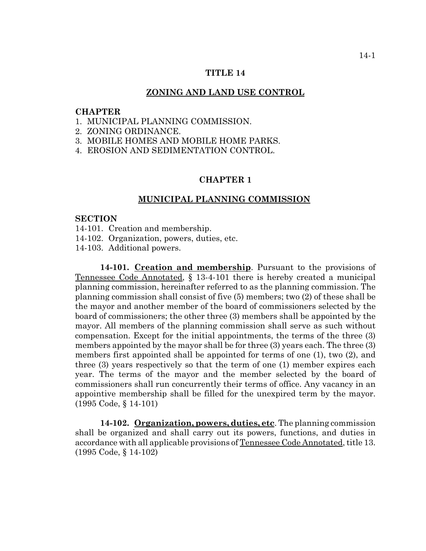# **TITLE 14**

#### **ZONING AND LAND USE CONTROL**

### **CHAPTER**

- 1. MUNICIPAL PLANNING COMMISSION.
- 2. ZONING ORDINANCE.
- 3. MOBILE HOMES AND MOBILE HOME PARKS.
- 4. EROSION AND SEDIMENTATION CONTROL.

# **CHAPTER 1**

# **MUNICIPAL PLANNING COMMISSION**

#### **SECTION**

- 14-101. Creation and membership.
- 14-102. Organization, powers, duties, etc.
- 14-103. Additional powers.

**14-101. Creation and membership**. Pursuant to the provisions of Tennessee Code Annotated, § 13-4-101 there is hereby created a municipal planning commission, hereinafter referred to as the planning commission. The planning commission shall consist of five (5) members; two (2) of these shall be the mayor and another member of the board of commissioners selected by the board of commissioners; the other three (3) members shall be appointed by the mayor. All members of the planning commission shall serve as such without compensation. Except for the initial appointments, the terms of the three (3) members appointed by the mayor shall be for three (3) years each. The three (3) members first appointed shall be appointed for terms of one (1), two (2), and three (3) years respectively so that the term of one (1) member expires each year. The terms of the mayor and the member selected by the board of commissioners shall run concurrently their terms of office. Any vacancy in an appointive membership shall be filled for the unexpired term by the mayor. (1995 Code, § 14-101)

**14-102. Organization, powers, duties, etc**. The planning commission shall be organized and shall carry out its powers, functions, and duties in accordance with all applicable provisions of Tennessee Code Annotated, title 13. (1995 Code, § 14-102)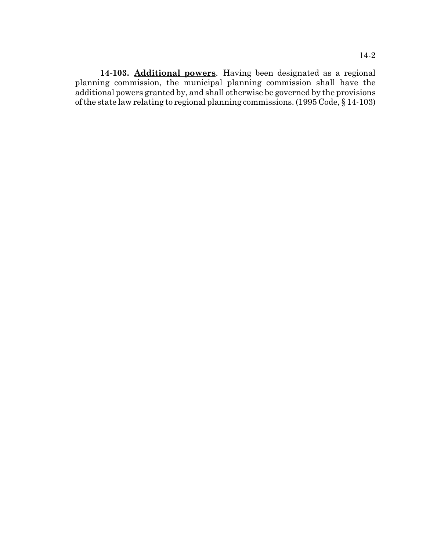**14-103. Additional powers**. Having been designated as a regional planning commission, the municipal planning commission shall have the additional powers granted by, and shall otherwise be governed by the provisions of the state law relating to regional planning commissions. (1995 Code, § 14-103)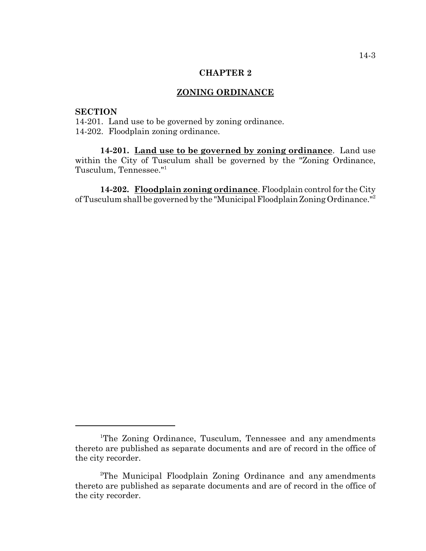### **CHAPTER 2**

# **ZONING ORDINANCE**

# **SECTION**

14-201. Land use to be governed by zoning ordinance. 14-202. Floodplain zoning ordinance.

**14-201. Land use to be governed by zoning ordinance**. Land use within the City of Tusculum shall be governed by the "Zoning Ordinance, Tusculum, Tennessee."<sup>1</sup>

**14-202. Floodplain zoning ordinance**. Floodplain control for the City of Tusculum shall be governed by the "Municipal Floodplain Zoning Ordinance."2

<sup>&</sup>lt;sup>1</sup>The Zoning Ordinance, Tusculum, Tennessee and any amendments thereto are published as separate documents and are of record in the office of the city recorder.

<sup>&</sup>lt;sup>2</sup>The Municipal Floodplain Zoning Ordinance and any amendments thereto are published as separate documents and are of record in the office of the city recorder.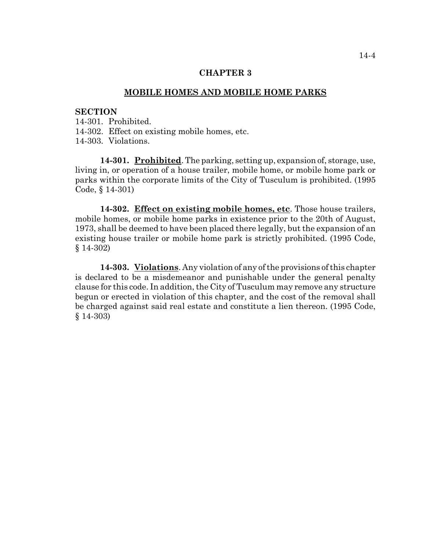# **CHAPTER 3**

# **MOBILE HOMES AND MOBILE HOME PARKS**

### **SECTION**

14-301. Prohibited. 14-302. Effect on existing mobile homes, etc. 14-303. Violations.

**14-301. Prohibited**. The parking, setting up, expansion of, storage, use, living in, or operation of a house trailer, mobile home, or mobile home park or parks within the corporate limits of the City of Tusculum is prohibited. (1995 Code, § 14-301)

**14-302. Effect on existing mobile homes, etc**. Those house trailers, mobile homes, or mobile home parks in existence prior to the 20th of August, 1973, shall be deemed to have been placed there legally, but the expansion of an existing house trailer or mobile home park is strictly prohibited. (1995 Code, § 14-302)

**14-303. Violations**. Any violation of any of the provisions of this chapter is declared to be a misdemeanor and punishable under the general penalty clause for this code. In addition, the City of Tusculum may remove any structure begun or erected in violation of this chapter, and the cost of the removal shall be charged against said real estate and constitute a lien thereon. (1995 Code, § 14-303)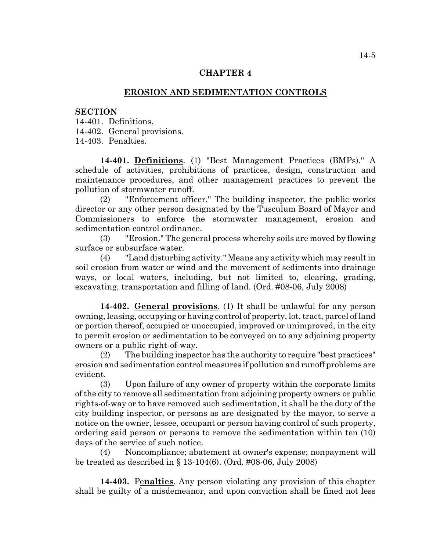# **CHAPTER 4**

# **EROSION AND SEDIMENTATION CONTROLS**

## **SECTION**

14-401. Definitions.

14-402. General provisions.

14-403. Penalties.

**14-401. Definitions**. (1) "Best Management Practices (BMPs)." A schedule of activities, prohibitions of practices, design, construction and maintenance procedures, and other management practices to prevent the pollution of stormwater runoff.

(2) "Enforcement officer." The building inspector, the public works director or any other person designated by the Tusculum Board of Mayor and Commissioners to enforce the stormwater management, erosion and sedimentation control ordinance.

(3) "Erosion." The general process whereby soils are moved by flowing surface or subsurface water.

(4) "Land disturbing activity." Means any activity which may result in soil erosion from water or wind and the movement of sediments into drainage ways, or local waters, including, but not limited to, clearing, grading, excavating, transportation and filling of land. (Ord. #08-06, July 2008)

**14-402. General provisions**. (1) It shall be unlawful for any person owning, leasing, occupying or having control of property, lot, tract, parcel of land or portion thereof, occupied or unoccupied, improved or unimproved, in the city to permit erosion or sedimentation to be conveyed on to any adjoining property owners or a public right-of-way.

(2) The building inspector has the authority to require "best practices" erosion and sedimentation control measures if pollution and runoff problems are evident.

(3) Upon failure of any owner of property within the corporate limits of the city to remove all sedimentation from adjoining property owners or public rights-of-way or to have removed such sedimentation, it shall be the duty of the city building inspector, or persons as are designated by the mayor, to serve a notice on the owner, lessee, occupant or person having control of such property, ordering said person or persons to remove the sedimentation within ten (10) days of the service of such notice.

(4) Noncompliance; abatement at owner's expense; nonpayment will be treated as described in § 13-104(6). (Ord. #08-06, July 2008)

**14-403.** Pe**nalties**. Any person violating any provision of this chapter shall be guilty of a misdemeanor, and upon conviction shall be fined not less